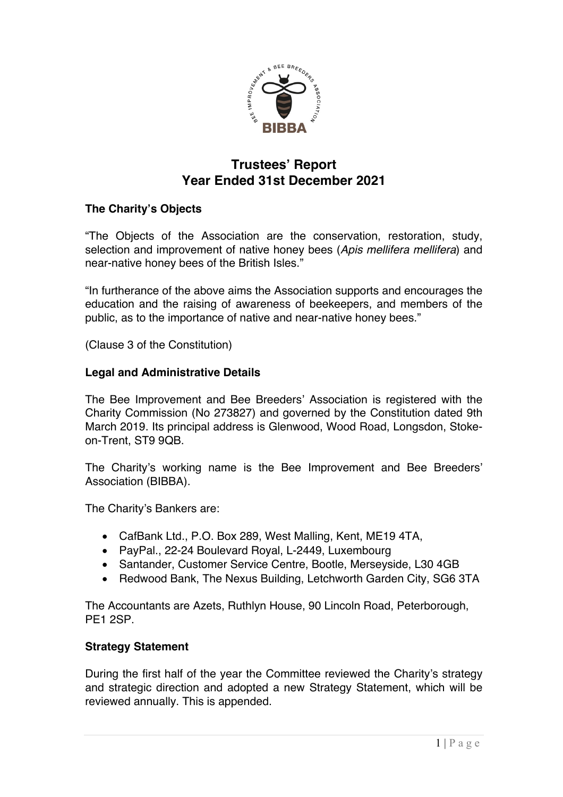

# **Trustees' Report Year Ended 31st December 2021**

# **The Charity's Objects**

"The Objects of the Association are the conservation, restoration, study, selection and improvement of native honey bees (*Apis mellifera mellifera*) and near-native honey bees of the British Isles."

"In furtherance of the above aims the Association supports and encourages the education and the raising of awareness of beekeepers, and members of the public, as to the importance of native and near-native honey bees."

(Clause 3 of the Constitution)

### **Legal and Administrative Details**

The Bee Improvement and Bee Breeders' Association is registered with the Charity Commission (No 273827) and governed by the Constitution dated 9th March 2019. Its principal address is Glenwood, Wood Road, Longsdon, Stokeon-Trent, ST9 9QB.

The Charity's working name is the Bee Improvement and Bee Breeders' Association (BIBBA).

The Charity's Bankers are:

- CafBank Ltd., P.O. Box 289, West Malling, Kent, ME19 4TA,
- PayPal., 22-24 Boulevard Royal, L-2449, Luxembourg
- Santander, Customer Service Centre, Bootle, Merseyside, L30 4GB
- Redwood Bank, The Nexus Building, Letchworth Garden City, SG6 3TA

The Accountants are Azets, Ruthlyn House, 90 Lincoln Road, Peterborough, PE1 2SP.

#### **Strategy Statement**

During the first half of the year the Committee reviewed the Charity's strategy and strategic direction and adopted a new Strategy Statement, which will be reviewed annually. This is appended.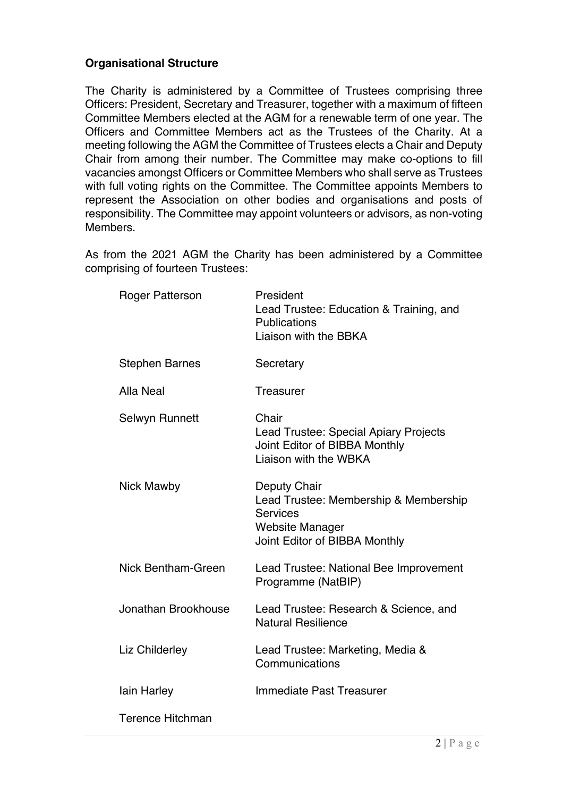# **Organisational Structure**

The Charity is administered by a Committee of Trustees comprising three Officers: President, Secretary and Treasurer, together with a maximum of fifteen Committee Members elected at the AGM for a renewable term of one year. The Officers and Committee Members act as the Trustees of the Charity. At a meeting following the AGM the Committee of Trustees elects a Chair and Deputy Chair from among their number. The Committee may make co-options to fill vacancies amongst Officers or Committee Members who shall serve as Trustees with full voting rights on the Committee. The Committee appoints Members to represent the Association on other bodies and organisations and posts of responsibility. The Committee may appoint volunteers or advisors, as non-voting Members.

As from the 2021 AGM the Charity has been administered by a Committee comprising of fourteen Trustees:

| <b>Roger Patterson</b>    | President<br>Lead Trustee: Education & Training, and<br><b>Publications</b><br>Liaison with the BBKA                                |
|---------------------------|-------------------------------------------------------------------------------------------------------------------------------------|
| <b>Stephen Barnes</b>     | Secretary                                                                                                                           |
| <b>Alla Neal</b>          | <b>Treasurer</b>                                                                                                                    |
| Selwyn Runnett            | Chair<br>Lead Trustee: Special Apiary Projects<br>Joint Editor of BIBBA Monthly<br>Liaison with the WBKA                            |
| Nick Mawby                | Deputy Chair<br>Lead Trustee: Membership & Membership<br><b>Services</b><br><b>Website Manager</b><br>Joint Editor of BIBBA Monthly |
| <b>Nick Bentham-Green</b> | Lead Trustee: National Bee Improvement<br>Programme (NatBIP)                                                                        |
| Jonathan Brookhouse       | Lead Trustee: Research & Science, and<br><b>Natural Resilience</b>                                                                  |
| Liz Childerley            | Lead Trustee: Marketing, Media &<br>Communications                                                                                  |
| lain Harley               | <b>Immediate Past Treasurer</b>                                                                                                     |
| <b>Terence Hitchman</b>   |                                                                                                                                     |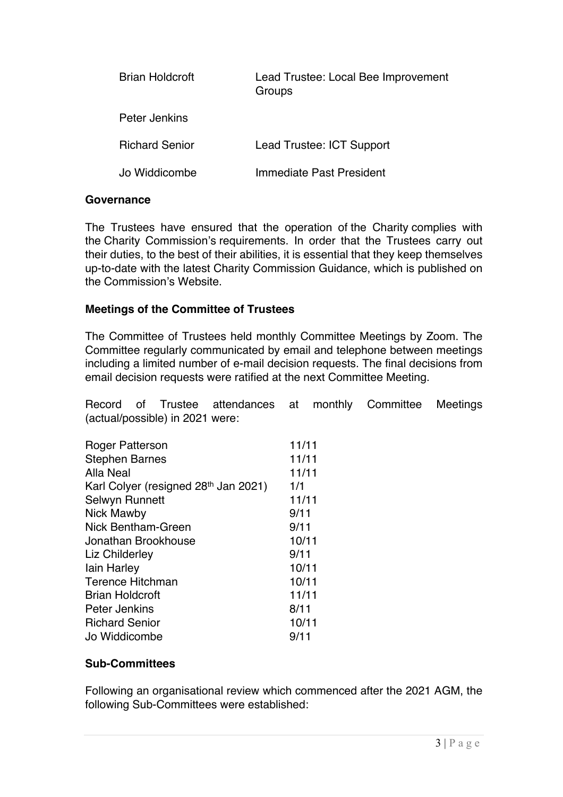| Brian Holdcroft       | Lead Trustee: Local Bee Improvement<br>Groups |
|-----------------------|-----------------------------------------------|
| Peter Jenkins         |                                               |
| <b>Richard Senior</b> | Lead Trustee: ICT Support                     |
| Jo Widdicombe         | Immediate Past President                      |

#### **Governance**

The Trustees have ensured that the operation of the Charity complies with the Charity Commission's requirements. In order that the Trustees carry out their duties, to the best of their abilities, it is essential that they keep themselves up-to-date with the latest Charity Commission Guidance, which is published on the Commission's Website.

#### **Meetings of the Committee of Trustees**

The Committee of Trustees held monthly Committee Meetings by Zoom. The Committee regularly communicated by email and telephone between meetings including a limited number of e-mail decision requests. The final decisions from email decision requests were ratified at the next Committee Meeting.

Record of Trustee attendances at monthly Committee Meetings (actual/possible) in 2021 were:

| <b>Roger Patterson</b>               | 11/11 |
|--------------------------------------|-------|
| <b>Stephen Barnes</b>                | 11/11 |
| Alla Neal                            | 11/11 |
| Karl Colyer (resigned 28th Jan 2021) | 1/1   |
| Selwyn Runnett                       | 11/11 |
| Nick Mawby                           | 9/11  |
| Nick Bentham-Green                   | 9/11  |
| Jonathan Brookhouse                  | 10/11 |
| Liz Childerley                       | 9/11  |
| lain Harley                          | 10/11 |
| <b>Terence Hitchman</b>              | 10/11 |
| <b>Brian Holdcroft</b>               | 11/11 |
| Peter Jenkins                        | 8/11  |
| <b>Richard Senior</b>                | 10/11 |
| Jo Widdicombe                        | 9/11  |

#### **Sub-Committees**

Following an organisational review which commenced after the 2021 AGM, the following Sub-Committees were established: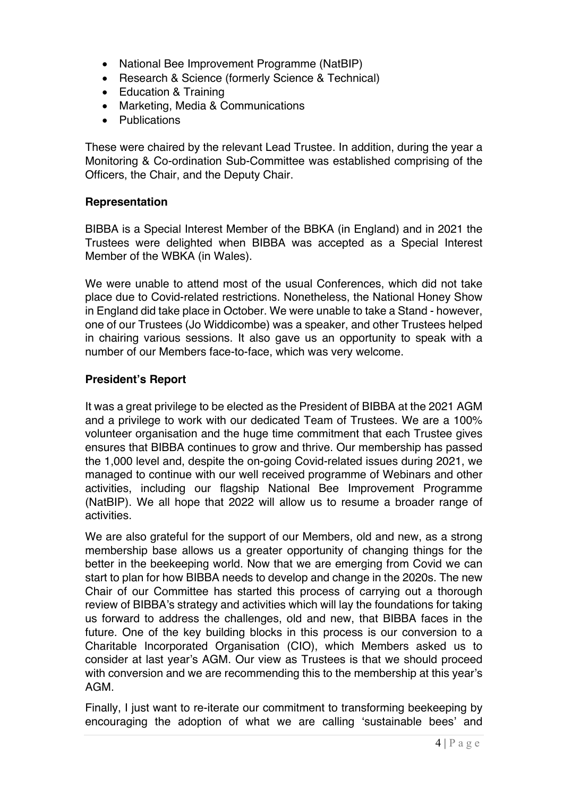- National Bee Improvement Programme (NatBIP)
- Research & Science (formerly Science & Technical)
- Education & Training
- Marketing, Media & Communications
- Publications

These were chaired by the relevant Lead Trustee. In addition, during the year a Monitoring & Co-ordination Sub-Committee was established comprising of the Officers, the Chair, and the Deputy Chair.

### **Representation**

BIBBA is a Special Interest Member of the BBKA (in England) and in 2021 the Trustees were delighted when BIBBA was accepted as a Special Interest Member of the WBKA (in Wales).

We were unable to attend most of the usual Conferences, which did not take place due to Covid-related restrictions. Nonetheless, the National Honey Show in England did take place in October. We were unable to take a Stand - however, one of our Trustees (Jo Widdicombe) was a speaker, and other Trustees helped in chairing various sessions. It also gave us an opportunity to speak with a number of our Members face-to-face, which was very welcome.

### **President's Report**

It was a great privilege to be elected as the President of BIBBA at the 2021 AGM and a privilege to work with our dedicated Team of Trustees. We are a 100% volunteer organisation and the huge time commitment that each Trustee gives ensures that BIBBA continues to grow and thrive. Our membership has passed the 1,000 level and, despite the on-going Covid-related issues during 2021, we managed to continue with our well received programme of Webinars and other activities, including our flagship National Bee Improvement Programme (NatBIP). We all hope that 2022 will allow us to resume a broader range of activities.

We are also grateful for the support of our Members, old and new, as a strong membership base allows us a greater opportunity of changing things for the better in the beekeeping world. Now that we are emerging from Covid we can start to plan for how BIBBA needs to develop and change in the 2020s. The new Chair of our Committee has started this process of carrying out a thorough review of BIBBA's strategy and activities which will lay the foundations for taking us forward to address the challenges, old and new, that BIBBA faces in the future. One of the key building blocks in this process is our conversion to a Charitable Incorporated Organisation (CIO), which Members asked us to consider at last year's AGM. Our view as Trustees is that we should proceed with conversion and we are recommending this to the membership at this year's AGM.

Finally, I just want to re-iterate our commitment to transforming beekeeping by encouraging the adoption of what we are calling 'sustainable bees' and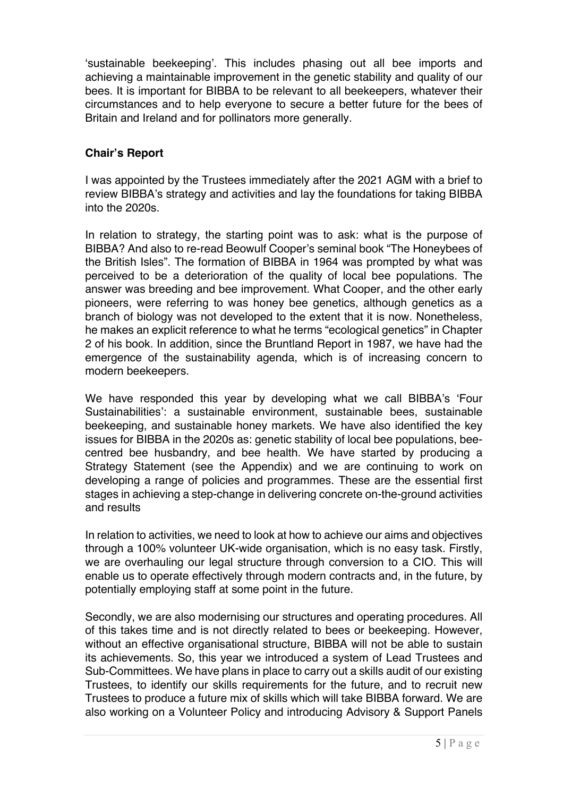'sustainable beekeeping'. This includes phasing out all bee imports and achieving a maintainable improvement in the genetic stability and quality of our bees. It is important for BIBBA to be relevant to all beekeepers, whatever their circumstances and to help everyone to secure a better future for the bees of Britain and Ireland and for pollinators more generally.

# **Chair's Report**

I was appointed by the Trustees immediately after the 2021 AGM with a brief to review BIBBA's strategy and activities and lay the foundations for taking BIBBA into the 2020s.

In relation to strategy, the starting point was to ask: what is the purpose of BIBBA? And also to re-read Beowulf Cooper's seminal book "The Honeybees of the British Isles". The formation of BIBBA in 1964 was prompted by what was perceived to be a deterioration of the quality of local bee populations. The answer was breeding and bee improvement. What Cooper, and the other early pioneers, were referring to was honey bee genetics, although genetics as a branch of biology was not developed to the extent that it is now. Nonetheless, he makes an explicit reference to what he terms "ecological genetics" in Chapter 2 of his book. In addition, since the Bruntland Report in 1987, we have had the emergence of the sustainability agenda, which is of increasing concern to modern beekeepers.

We have responded this year by developing what we call BIBBA's 'Four Sustainabilities': a sustainable environment, sustainable bees, sustainable beekeeping, and sustainable honey markets. We have also identified the key issues for BIBBA in the 2020s as: genetic stability of local bee populations, beecentred bee husbandry, and bee health. We have started by producing a Strategy Statement (see the Appendix) and we are continuing to work on developing a range of policies and programmes. These are the essential first stages in achieving a step-change in delivering concrete on-the-ground activities and results

In relation to activities, we need to look at how to achieve our aims and objectives through a 100% volunteer UK-wide organisation, which is no easy task. Firstly, we are overhauling our legal structure through conversion to a CIO. This will enable us to operate effectively through modern contracts and, in the future, by potentially employing staff at some point in the future.

Secondly, we are also modernising our structures and operating procedures. All of this takes time and is not directly related to bees or beekeeping. However, without an effective organisational structure, BIBBA will not be able to sustain its achievements. So, this year we introduced a system of Lead Trustees and Sub-Committees. We have plans in place to carry out a skills audit of our existing Trustees, to identify our skills requirements for the future, and to recruit new Trustees to produce a future mix of skills which will take BIBBA forward. We are also working on a Volunteer Policy and introducing Advisory & Support Panels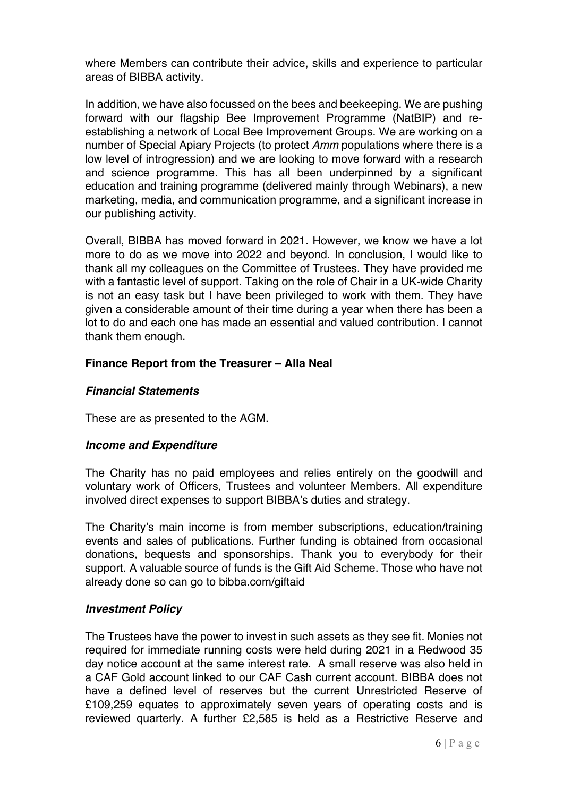where Members can contribute their advice, skills and experience to particular areas of BIBBA activity.

In addition, we have also focussed on the bees and beekeeping. We are pushing forward with our flagship Bee Improvement Programme (NatBIP) and reestablishing a network of Local Bee Improvement Groups. We are working on a number of Special Apiary Projects (to protect *Amm* populations where there is a low level of introgression) and we are looking to move forward with a research and science programme. This has all been underpinned by a significant education and training programme (delivered mainly through Webinars), a new marketing, media, and communication programme, and a significant increase in our publishing activity.

Overall, BIBBA has moved forward in 2021. However, we know we have a lot more to do as we move into 2022 and beyond. In conclusion, I would like to thank all my colleagues on the Committee of Trustees. They have provided me with a fantastic level of support. Taking on the role of Chair in a UK-wide Charity is not an easy task but I have been privileged to work with them. They have given a considerable amount of their time during a year when there has been a lot to do and each one has made an essential and valued contribution. I cannot thank them enough.

# **Finance Report from the Treasurer – Alla Neal**

# *Financial Statements*

These are as presented to the AGM.

# *Income and Expenditure*

The Charity has no paid employees and relies entirely on the goodwill and voluntary work of Officers, Trustees and volunteer Members. All expenditure involved direct expenses to support BIBBA's duties and strategy.

The Charity's main income is from member subscriptions, education/training events and sales of publications. Further funding is obtained from occasional donations, bequests and sponsorships. Thank you to everybody for their support. A valuable source of funds is the Gift Aid Scheme. Those who have not already done so can go to bibba.com/giftaid

# *Investment Policy*

The Trustees have the power to invest in such assets as they see fit. Monies not required for immediate running costs were held during 2021 in a Redwood 35 day notice account at the same interest rate. A small reserve was also held in a CAF Gold account linked to our CAF Cash current account. BIBBA does not have a defined level of reserves but the current Unrestricted Reserve of £109,259 equates to approximately seven years of operating costs and is reviewed quarterly. A further £2,585 is held as a Restrictive Reserve and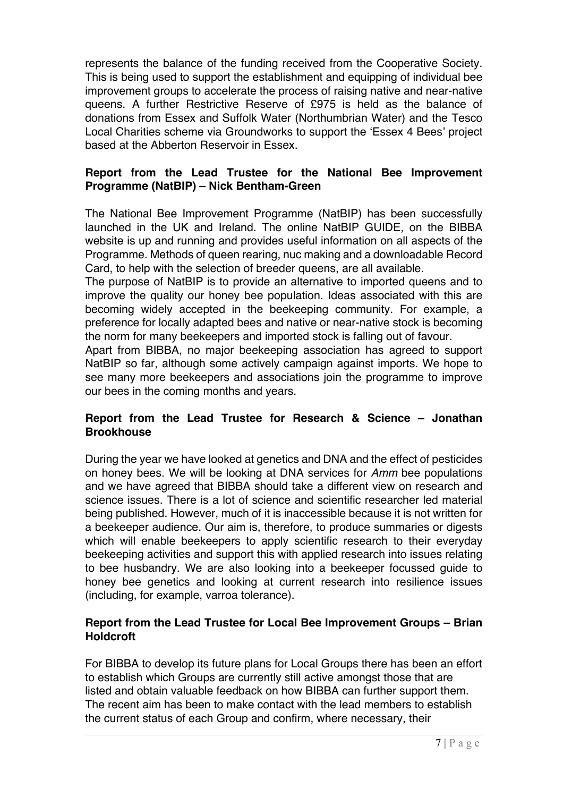represents the balance of the funding received from the Cooperative Society. This is being used to support the establishment and equipping of individual bee improvement groups to accelerate the process of raising native and near-native queens. A further Restrictive Reserve of £975 is held as the balance of donations from Essex and Suffolk Water (Northumbrian Water) and the Tesco Local Charities scheme via Groundworks to support the 'Essex 4 Bees' project based at the Abberton Reservoir in Essex.

## **Report from the Lead Trustee for the National Bee Improvement Programme (NatBIP) – Nick Bentham-Green**

The National Bee Improvement Programme (NatBIP) has been successfully launched in the UK and Ireland. The online NatBIP GUIDE, on the BIBBA website is up and running and provides useful information on all aspects of the Programme. Methods of queen rearing, nuc making and a downloadable Record Card, to help with the selection of breeder queens, are all available.

The purpose of NatBIP is to provide an alternative to imported queens and to improve the quality our honey bee population. Ideas associated with this are becoming widely accepted in the beekeeping community. For example, a preference for locally adapted bees and native or near-native stock is becoming the norm for many beekeepers and imported stock is falling out of favour.

Apart from BIBBA, no major beekeeping association has agreed to support NatBIP so far, although some actively campaign against imports. We hope to see many more beekeepers and associations join the programme to improve our bees in the coming months and years.

# **Report from the Lead Trustee for Research & Science – Jonathan Brookhouse**

During the year we have looked at genetics and DNA and the effect of pesticides on honey bees. We will be looking at DNA services for *Amm* bee populations and we have agreed that BIBBA should take a different view on research and science issues. There is a lot of science and scientific researcher led material being published. However, much of it is inaccessible because it is not written for a beekeeper audience. Our aim is, therefore, to produce summaries or digests which will enable beekeepers to apply scientific research to their everyday beekeeping activities and support this with applied research into issues relating to bee husbandry. We are also looking into a beekeeper focussed guide to honey bee genetics and looking at current research into resilience issues (including, for example, varroa tolerance).

# **Report from the Lead Trustee for Local Bee Improvement Groups – Brian Holdcroft**

For BIBBA to develop its future plans for Local Groups there has been an effort to establish which Groups are currently still active amongst those that are listed and obtain valuable feedback on how BIBBA can further support them. The recent aim has been to make contact with the lead members to establish the current status of each Group and confirm, where necessary, their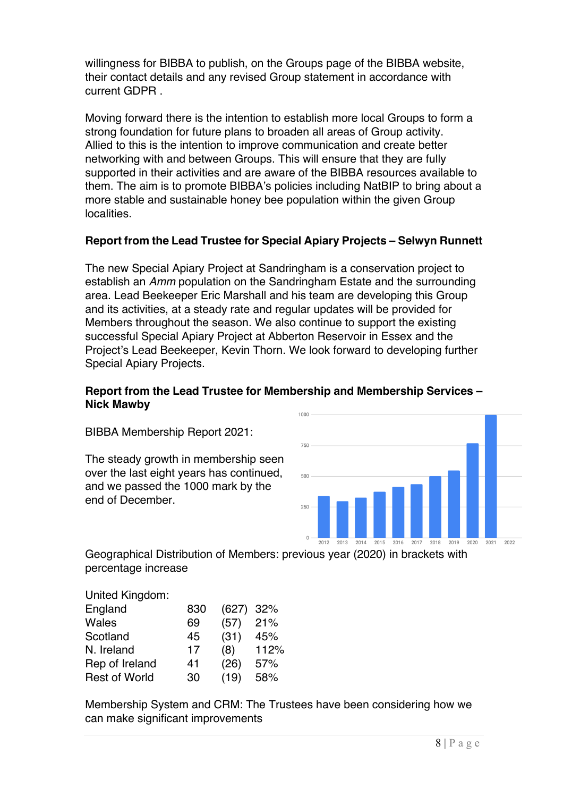willingness for BIBBA to publish, on the Groups page of the BIBBA website, their contact details and any revised Group statement in accordance with current GDPR .

Moving forward there is the intention to establish more local Groups to form a strong foundation for future plans to broaden all areas of Group activity. Allied to this is the intention to improve communication and create better networking with and between Groups. This will ensure that they are fully supported in their activities and are aware of the BIBBA resources available to them. The aim is to promote BIBBA's policies including NatBIP to bring about a more stable and sustainable honey bee population within the given Group localities.

# **Report from the Lead Trustee for Special Apiary Projects – Selwyn Runnett**

The new Special Apiary Project at Sandringham is a conservation project to establish an *Amm* population on the Sandringham Estate and the surrounding area. Lead Beekeeper Eric Marshall and his team are developing this Group and its activities, at a steady rate and regular updates will be provided for Members throughout the season. We also continue to support the existing successful Special Apiary Project at Abberton Reservoir in Essex and the Project's Lead Beekeeper, Kevin Thorn. We look forward to developing further Special Apiary Projects.

## **Report from the Lead Trustee for Membership and Membership Services – Nick Mawby**

BIBBA Membership Report 2021:

The steady growth in membership seen over the last eight years has continued, and we passed the 1000 mark by the end of December.



Geographical Distribution of Members: previous year (2020) in brackets with percentage increase

| United Kingdom:      |     |             |      |
|----------------------|-----|-------------|------|
| England              | 830 | $(627)$ 32% |      |
| Wales                | 69  | (57)        | 21%  |
| Scotland             | 45  | (31)        | 45%  |
| N. Ireland           | 17  | (8)         | 112% |
| Rep of Ireland       | 41  | (26)        | 57%  |
| <b>Rest of World</b> | 30  | (19)        | 58%  |

Membership System and CRM: The Trustees have been considering how we can make significant improvements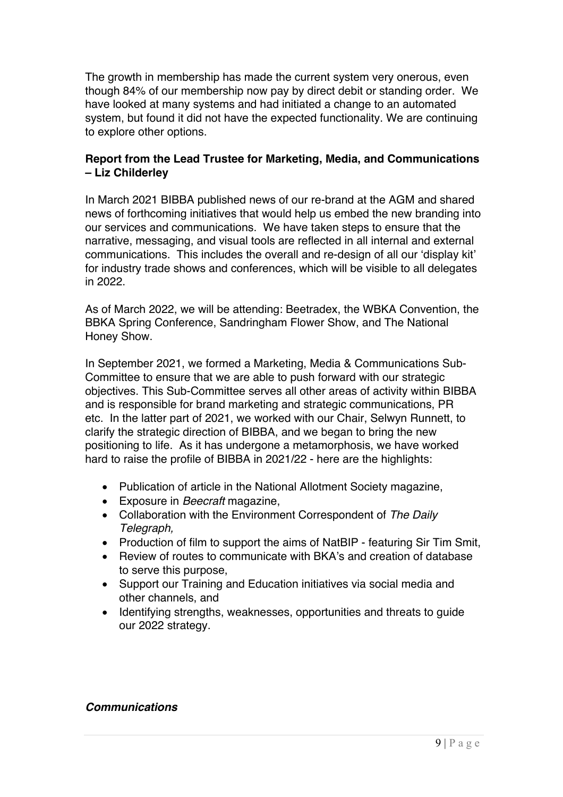The growth in membership has made the current system very onerous, even though 84% of our membership now pay by direct debit or standing order. We have looked at many systems and had initiated a change to an automated system, but found it did not have the expected functionality. We are continuing to explore other options.

# **Report from the Lead Trustee for Marketing, Media, and Communications – Liz Childerley**

In March 2021 BIBBA published news of our re-brand at the AGM and shared news of forthcoming initiatives that would help us embed the new branding into our services and communications. We have taken steps to ensure that the narrative, messaging, and visual tools are reflected in all internal and external communications. This includes the overall and re-design of all our 'display kit' for industry trade shows and conferences, which will be visible to all delegates in 2022.

As of March 2022, we will be attending: Beetradex, the WBKA Convention, the BBKA Spring Conference, Sandringham Flower Show, and The National Honey Show.

In September 2021, we formed a Marketing, Media & Communications Sub-Committee to ensure that we are able to push forward with our strategic objectives. This Sub-Committee serves all other areas of activity within BIBBA and is responsible for brand marketing and strategic communications, PR etc. In the latter part of 2021, we worked with our Chair, Selwyn Runnett, to clarify the strategic direction of BIBBA, and we began to bring the new positioning to life. As it has undergone a metamorphosis, we have worked hard to raise the profile of BIBBA in 2021/22 - here are the highlights:

- Publication of article in the National Allotment Society magazine,
- Exposure in *Beecraft* magazine,
- Collaboration with the Environment Correspondent of *The Daily Telegraph,*
- Production of film to support the aims of NatBIP featuring Sir Tim Smit,
- Review of routes to communicate with BKA's and creation of database to serve this purpose,
- Support our Training and Education initiatives via social media and other channels, and
- Identifying strengths, weaknesses, opportunities and threats to guide our 2022 strategy.

# *Communications*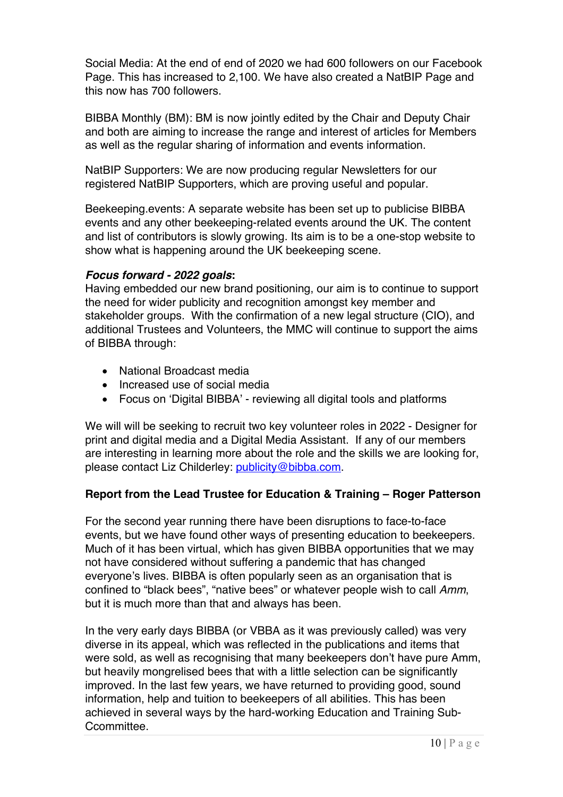Social Media: At the end of end of 2020 we had 600 followers on our Facebook Page. This has increased to 2,100. We have also created a NatBIP Page and this now has 700 followers.

BIBBA Monthly (BM): BM is now jointly edited by the Chair and Deputy Chair and both are aiming to increase the range and interest of articles for Members as well as the regular sharing of information and events information.

NatBIP Supporters: We are now producing regular Newsletters for our registered NatBIP Supporters, which are proving useful and popular.

Beekeeping.events: A separate website has been set up to publicise BIBBA events and any other beekeeping-related events around the UK. The content and list of contributors is slowly growing. Its aim is to be a one-stop website to show what is happening around the UK beekeeping scene.

### *Focus forward - 2022 goals***:**

Having embedded our new brand positioning, our aim is to continue to support the need for wider publicity and recognition amongst key member and stakeholder groups. With the confirmation of a new legal structure (CIO), and additional Trustees and Volunteers, the MMC will continue to support the aims of BIBBA through:

- National Broadcast media
- Increased use of social media
- Focus on 'Digital BIBBA' reviewing all digital tools and platforms

We will will be seeking to recruit two key volunteer roles in 2022 - Designer for print and digital media and a Digital Media Assistant. If any of our members are interesting in learning more about the role and the skills we are looking for, please contact Liz Childerley: publicity@bibba.com.

# **Report from the Lead Trustee for Education & Training – Roger Patterson**

For the second year running there have been disruptions to face-to-face events, but we have found other ways of presenting education to beekeepers. Much of it has been virtual, which has given BIBBA opportunities that we may not have considered without suffering a pandemic that has changed everyone's lives. BIBBA is often popularly seen as an organisation that is confined to "black bees", "native bees" or whatever people wish to call *Amm*, but it is much more than that and always has been.

In the very early days BIBBA (or VBBA as it was previously called) was very diverse in its appeal, which was reflected in the publications and items that were sold, as well as recognising that many beekeepers don't have pure Amm, but heavily mongrelised bees that with a little selection can be significantly improved. In the last few years, we have returned to providing good, sound information, help and tuition to beekeepers of all abilities. This has been achieved in several ways by the hard-working Education and Training Sub-**Ccommittee.**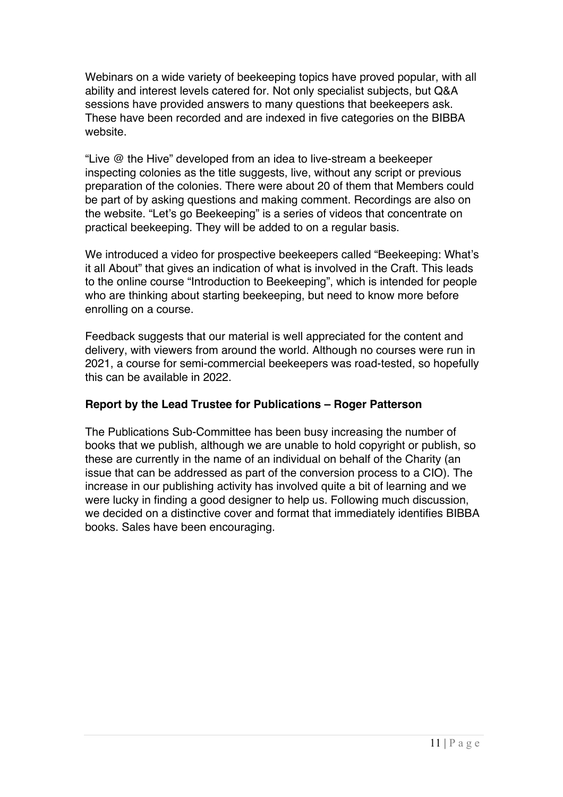Webinars on a wide variety of beekeeping topics have proved popular, with all ability and interest levels catered for. Not only specialist subjects, but Q&A sessions have provided answers to many questions that beekeepers ask. These have been recorded and are indexed in five categories on the BIBBA website.

"Live @ the Hive" developed from an idea to live-stream a beekeeper inspecting colonies as the title suggests, live, without any script or previous preparation of the colonies. There were about 20 of them that Members could be part of by asking questions and making comment. Recordings are also on the website. "Let's go Beekeeping" is a series of videos that concentrate on practical beekeeping. They will be added to on a regular basis.

We introduced a video for prospective beekeepers called "Beekeeping: What's it all About" that gives an indication of what is involved in the Craft. This leads to the online course "Introduction to Beekeeping", which is intended for people who are thinking about starting beekeeping, but need to know more before enrolling on a course.

Feedback suggests that our material is well appreciated for the content and delivery, with viewers from around the world. Although no courses were run in 2021, a course for semi-commercial beekeepers was road-tested, so hopefully this can be available in 2022.

# **Report by the Lead Trustee for Publications – Roger Patterson**

The Publications Sub-Committee has been busy increasing the number of books that we publish, although we are unable to hold copyright or publish, so these are currently in the name of an individual on behalf of the Charity (an issue that can be addressed as part of the conversion process to a CIO). The increase in our publishing activity has involved quite a bit of learning and we were lucky in finding a good designer to help us. Following much discussion, we decided on a distinctive cover and format that immediately identifies BIBBA books. Sales have been encouraging.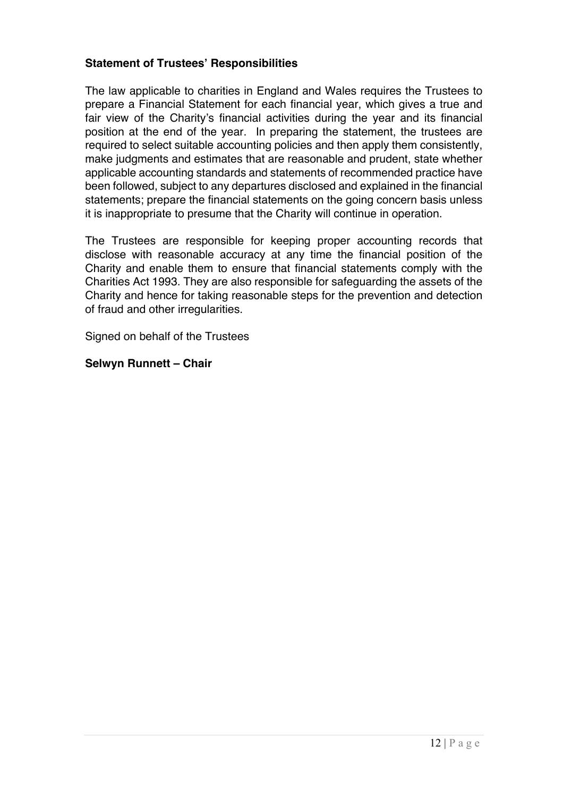## **Statement of Trustees' Responsibilities**

The law applicable to charities in England and Wales requires the Trustees to prepare a Financial Statement for each financial year, which gives a true and fair view of the Charity's financial activities during the year and its financial position at the end of the year. In preparing the statement, the trustees are required to select suitable accounting policies and then apply them consistently, make judgments and estimates that are reasonable and prudent, state whether applicable accounting standards and statements of recommended practice have been followed, subject to any departures disclosed and explained in the financial statements; prepare the financial statements on the going concern basis unless it is inappropriate to presume that the Charity will continue in operation.

The Trustees are responsible for keeping proper accounting records that disclose with reasonable accuracy at any time the financial position of the Charity and enable them to ensure that financial statements comply with the Charities Act 1993. They are also responsible for safeguarding the assets of the Charity and hence for taking reasonable steps for the prevention and detection of fraud and other irregularities.

Signed on behalf of the Trustees

**Selwyn Runnett – Chair**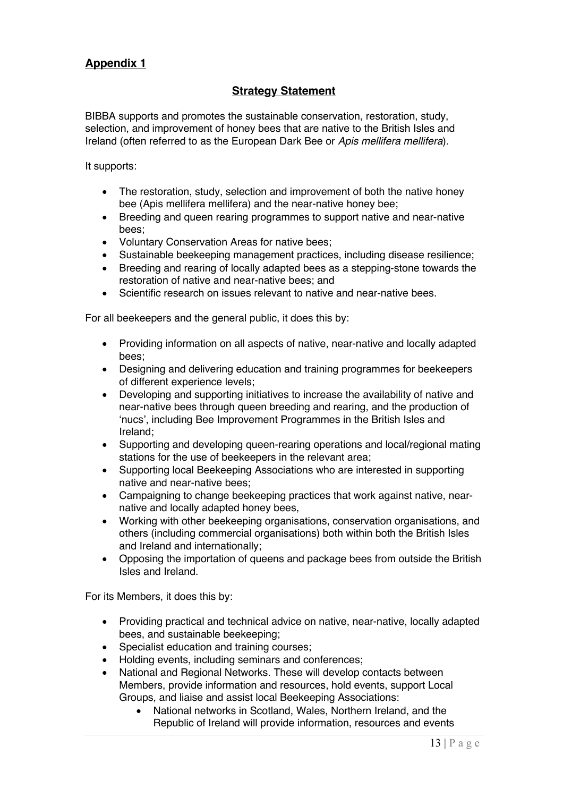# **Appendix 1**

# **Strategy Statement**

BIBBA supports and promotes the sustainable conservation, restoration, study, selection, and improvement of honey bees that are native to the British Isles and Ireland (often referred to as the European Dark Bee or *Apis mellifera mellifera*).

It supports:

- The restoration, study, selection and improvement of both the native honey bee (Apis mellifera mellifera) and the near-native honey bee;
- Breeding and queen rearing programmes to support native and near-native bees;
- Voluntary Conservation Areas for native bees;
- Sustainable beekeeping management practices, including disease resilience;
- Breeding and rearing of locally adapted bees as a stepping-stone towards the restoration of native and near-native bees; and
- Scientific research on issues relevant to native and near-native bees.

For all beekeepers and the general public, it does this by:

- Providing information on all aspects of native, near-native and locally adapted bees;
- Designing and delivering education and training programmes for beekeepers of different experience levels;
- Developing and supporting initiatives to increase the availability of native and near-native bees through queen breeding and rearing, and the production of 'nucs', including Bee Improvement Programmes in the British Isles and Ireland;
- Supporting and developing queen-rearing operations and local/regional mating stations for the use of beekeepers in the relevant area;
- Supporting local Beekeeping Associations who are interested in supporting native and near-native bees;
- Campaigning to change beekeeping practices that work against native, nearnative and locally adapted honey bees,
- Working with other beekeeping organisations, conservation organisations, and others (including commercial organisations) both within both the British Isles and Ireland and internationally;
- Opposing the importation of queens and package bees from outside the British Isles and Ireland.

For its Members, it does this by:

- Providing practical and technical advice on native, near-native, locally adapted bees, and sustainable beekeeping;
- Specialist education and training courses;
- Holding events, including seminars and conferences;
- National and Regional Networks. These will develop contacts between Members, provide information and resources, hold events, support Local Groups, and liaise and assist local Beekeeping Associations:
	- National networks in Scotland, Wales, Northern Ireland, and the Republic of Ireland will provide information, resources and events